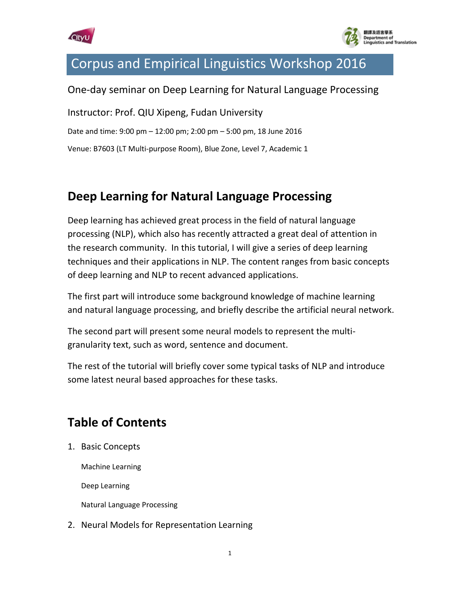



## Corpus and Empirical Linguistics Workshop 2016

## One-day seminar on Deep Learning for Natural Language Processing

Instructor: Prof. QIU Xipeng, Fudan University Date and time: 9:00 pm – 12:00 pm; 2:00 pm – 5:00 pm, 18 June 2016 Venue: B7603 (LT Multi-purpose Room), Blue Zone, Level 7, Academic 1

## **Deep Learning for Natural Language Processing**

Deep learning has achieved great process in the field of natural language processing (NLP), which also has recently attracted a great deal of attention in the research community. In this tutorial, I will give a series of deep learning techniques and their applications in NLP. The content ranges from basic concepts of deep learning and NLP to recent advanced applications.

The first part will introduce some background knowledge of machine learning and natural language processing, and briefly describe the artificial neural network.

The second part will present some neural models to represent the multigranularity text, such as word, sentence and document.

The rest of the tutorial will briefly cover some typical tasks of NLP and introduce some latest neural based approaches for these tasks.

## **Table of Contents**

1. Basic Concepts

Machine Learning

Deep Learning

Natural Language Processing

2. Neural Models for Representation Learning